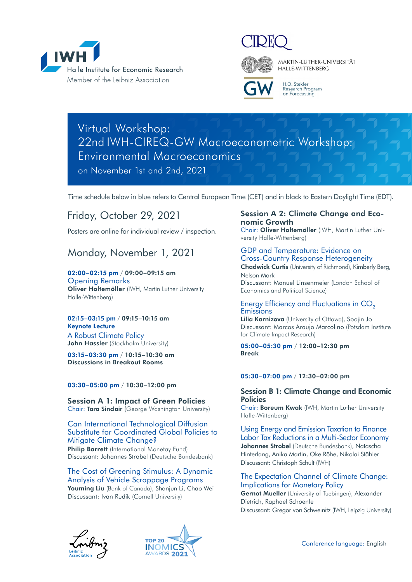



MARTIN-LUTHER-UNIVERSITÄT HALLE-WITTENBERG



H.O. Stekler Research Program<br>on Forecasting

## Virtual Workshop: 22nd IWH-CIREQ-GW Macroeconometric Workshop: Environmental Macroeconomics on November 1st and 2nd, 2021

Time schedule below in blue refers to Central European Time (CET) and in black to Eastern Daylight Time (EDT).

## Friday, October 29, 2021

Posters are online for individual review / inspection.

## Monday, November 1, 2021

## 02:00–02:15 pm / 09:00–09:15 am

Opening Remarks **Oliver Holtemöller** (IWH, Martin Luther University Halle-Wittenberg)

## 02:15–03:15 pm / 09:15–10:15 am Keynote Lecture

A Robust Climate Policy **John Hassler** (Stockholm University)

03:15–03:30 pm / 10:15–10:30 am Discussions in Breakout Rooms

## 03:30–05:00 pm / 10:30–12:00 pm

Session A 1: Impact of Green Policies Chair: Tara Sinclair (George Washington University)

## Can International Technological Diffusion Substitute for Coordinated Global Policies to Mitigate Climate Change? **Philip Barrett** (International Monetay Fund) Discussant: Johannes Strobel (Deutsche Bundesbank)

The Cost of Greening Stimulus: A Dynamic Analysis of Vehicle Scrappage Programs **Youming Liu** (Bank of Canada), Shanjun Li, Chao Wei Discussant: Ivan Rudik (Cornell University)

## Session A 2: Climate Change and Economic Growth

Chair: **Oliver Holtemöller** (IWH, Martin Luther University Halle-Wittenberg)

## GDP and Temperature: Evidence on Cross-Country Response Heterogeneity

**Chadwick Curtis** (University of Richmond), Kimberly Berg, Nelson Mark Discussant: Manuel Linsenmeier (London School of

Economics and Political Science)

## Energy Efficiency and Fluctuations in CO<sub>2</sub> **Emissions**

**Lilia Karnizova** (University of Ottawa), Soojin Jo Discussant: Marcos Araujo Marcolino (Potsdam Institute for Climate Impact Research)

## 05:00–05:30 pm / 12:00–12:30 pm Break

## 05:30–07:00 pm / 12:30–02:00 pm

## Session B 1: Climate Change and Economic **Policies**

Chair: **Boreum Kwak** (IWH, Martin Luther University Halle-Wittenberg)

Using Energy and Emission Taxation to Finance Labor Tax Reductions in a Multi-Sector Economy **Johannes Strobel** (Deutsche Bundesbank), Natascha Hinterlang, Anika Martin, Oke Röhe, Nikolai Stähler Discussant: Christoph Schult (IWH)

## The Expectation Channel of Climate Change: Implications for Monetary Policy

**Gernot Mueller** (University of Tuebingen), Alexander Dietrich, Raphael Schoenle Discussant: Gregor von Schweinitz (IWH, Leipzig University)



Conference language: English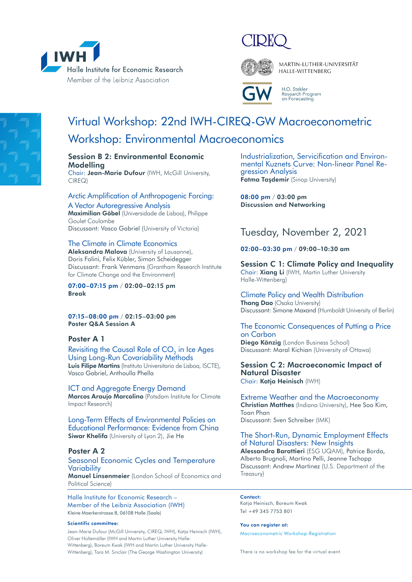



MARTIN-LUTHER-UNIVERSITÄT HALLE-WITTENBERG



H.O. Stekler Research Program<br>on Forecasting

# Virtual Workshop: 22nd IWH-CIREQ-GW Macroeconometric Workshop: Environmental Macroeconomics

## Session B 2: Environmental Economic **Modelling**

Chair: **Jean-Marie Dufour** (IWH, McGill University, CIREQ)

## Arctic Amplification of Anthropogenic Forcing: A Vector Autoregressive Analysis

**Maximilian Göbel** (Universidade de Lisboa), Philippe Goulet Coulombe Discussant: Vasco Gabriel (University of Victoria)

## The Climate in Climate Economics

**Aleksandra Malova** (University of Lausanne), Doris Folini, Felix Kübler, Simon Scheidegger Discussant: Frank Venmans (Grantham Research Institute for Climate Change and the Environment)

07:00–07:15 pm / 02:00–02:15 pm Break

07:15–08:00 pm / 02:15–03:00 pm Poster Q&A Session A

## Poster A 1

Revisiting the Causal Role of CO<sub>2</sub> in Ice Ages Using Long-Run Covariability Methods **Luis Filipe Martins** (Instituto Universitario de Lisboa, ISCTE), Vasco Gabriel, Anthoulla Phella

ICT and Aggregate Energy Demand **Marcos Araujo Marcolino** (Potsdam Institute for Climate Impact Research)

Long-Term Effects of Environmental Policies on Educational Performance: Evidence from China **Siwar Khelifa** (University of Lyon 2), Jie He

## Poster A 2

## Seasonal Economic Cycles and Temperature **Variability**

**Manuel Linsenmeier** (London School of Economics and Political Science)

Halle Institute for Economic Research – Member of the Leibniz Association (IWH) Kleine Maerkerstrasse 8, 06108 Halle (Saale)

### Scientific committee:

Jean-Marie Dufour (McGill University, CIREQ, IWH), Katja Heinisch (IWH), Oliver Holtemöller (IWH and Martin Luther University Halle-Wittenberg), Boreum Kwak (IWH and Martin Luther University Halle-Wittenberg), Tara M. Sinclair (The George Washington University)

Industrialization, Servicification and Environ- mental Kuznets Curve: Non-linear Panel Re- gression Analysis **Fatma Taşdemir** (Sinop University)

08:00 pm / 03:00 pm Discussion and Networking

## Tuesday, November 2, 2021

## 02:00–03:30 pm / 09:00–10:30 am

Session C 1: Climate Policy and Inequality Chair: **Xiang Li** (IWH, Martin Luther University Halle-Wittenberg)

Climate Policy and Wealth Distribution **Thang Dao** (Osaka University) Discussant: Simone Maxand (Humboldt University of Berlin)

## The Economic Consequences of Putting a Price on Carbon

**Diego Känzig** (London Business School) Discussant: Maral Kichian (University of Ottawa)

## Session C 2: Macroeconomic Impact of Natural Disaster Chair: **Katja Heinisch** (IWH)

Extreme Weather and the Macroeconomy **Christian Matthes** (Indiana University), Hee Soo Kim, Toan Phan Discussant: Sven Schreiber (IMK)

The Short-Run, Dynamic Employment Effects of Natural Disasters: New Insights **Alessandro Barattieri** (ESG UQAM), Patrice Borda, Alberto Brugnoli, Martino Pelli, Jeanne Tschopp Discussant: Andrew Martinez (U.S. Department of the Treasury)

### Contact:

Katja Heinisch, Boreum Kwak Tel +49 345 7753 801

### You can reaister at:

[Macroeconometric Workshop-Registration](https://docs.google.com/forms/d/1sT0jQUYMcbzNq4sm39l-7B7JUwCdY_5uBka6SKXVfhA/viewform?edit_requested=true)

There is no workshop fee for the virtual event.